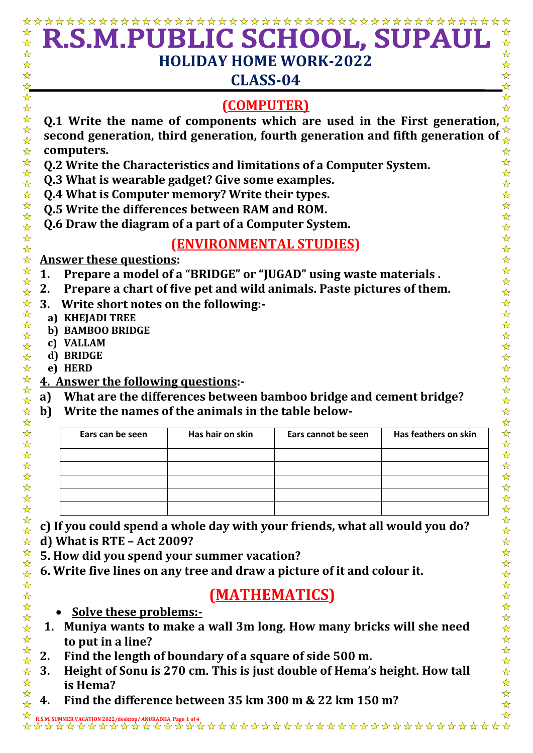## ☆ R.S.M.PUBLIC SCHOOL, SUPAI ☆  $\frac{1}{\sqrt{2}}$  $\frac{1}{\sqrt{2}}$  $\frac{1}{\sqrt{2}}$  $\frac{1}{\mathbf{k}^2}$ **HOLIDAY HOME WORK-2022**  $\frac{1}{\mathbf{k}}$ ☆  $\frac{1}{\sqrt{2}}$ ☆ **CLASS-04**  $\frac{1}{\sqrt{2}}$  $\blacktriangle$ 卒 卒 卒  $\bigstar$ **(COMPUTER)**  $\frac{1}{\sqrt{2}}$ **Q.1 Write the name of components which are used in the First generation,**  $\hat{\tau}$  $\frac{1}{\mathbf{k}^2}$ \*\* **second generation, third generation, fourth generation and fifth generation of**   $\frac{1}{\sqrt{2}}$  $\frac{1}{\sqrt{2}}$ **computers.**  $\frac{1}{\mathbf{k}^2}$  $\frac{1}{\sqrt{2}}$  $\frac{\lambda}{\lambda}$ **Q.2 Write the Characteristics and limitations of a Computer System.**  $\frac{1}{\sqrt{2}}$ 24 24 **Q.3 What is wearable gadget? Give some examples.**  $\frac{1}{\sqrt{2}}$ **Q.4 What is Computer memory? Write their types.**  $\frac{1}{\sqrt{2}}$ \*\*\*\*\*\*\*\* 2222年 **Q.5 Write the differences between RAM and ROM. Q.6 Draw the diagram of a part of a Computer System. (ENVIRONMENTAL STUDIES)**  $\frac{1}{2}$  $\frac{1}{\sqrt{2}}$ **Answer these questions:**  $\frac{1}{\sqrt{2}}$  $\frac{1}{\sqrt{2}}$ **1. Prepare a model of a "BRIDGE" or "JUGAD" using waste materials .**  $\frac{1}{\sqrt{2}}$  $\frac{1}{\sqrt{2}}$ **2. Prepare a chart of five pet and wild animals. Paste pictures of them.**   $\frac{1}{\sqrt{2}}$ ☆☆☆☆☆☆☆☆☆☆☆☆☆☆  $\frac{1}{\sqrt{2}}$ **3. Write short notes on the following:-**  $\frac{1}{2}$ **a) KHEJADI TREE**  $\frac{1}{\sqrt{2}}$ **b) BAMBOO BRIDGE**  $\frac{\lambda}{\lambda}$ **c) VALLAM**  $\frac{1}{\sqrt{2}}$  $\frac{1}{\mathcal{N}}$ **d) BRIDGE**  $\frac{1}{\sqrt{2}}$ **e) HERD**  $\frac{1}{\sqrt{2}}$ **4. Answer the following questions:-** ☆ **a) What are the differences between bamboo bridge and cement bridge?**  $\frac{1}{\sqrt{2}}$ **b) Write the names of the animals in the table below-** $\frac{1}{\sqrt{2}}$  $\frac{1}{\sqrt{2}}$ ☆☆☆☆☆☆☆☆☆☆☆☆  $\frac{1}{\sqrt{2}}$ **Ears can be seen Has hair on skin Ears cannot be seen Has feathers on skin** \*\*\*\*\*\*\*\*  $\mathbf{r}$  **c) If you could spend a whole day with your friends, what all would you do?**  $\frac{1}{\sqrt{2}}$  **d) What is RTE – Act 2009?**   $\frac{1}{\sqrt{2}}$  $\frac{1}{\mathcal{N}}$  **5. How did you spend your summer vacation?** ☆☆☆☆☆☆☆☆☆☆☆☆☆☆  $\frac{1}{\mathcal{N}}$  **6. Write five lines on any tree and draw a picture of it and colour it.**  $\frac{1}{\sqrt{2}}$ ☆☆☆☆☆  **(MATHEMATICS) Solve these problems:- 1. Muniya wants to make a wall 3m long. How many bricks will she need**   $\frac{1}{\sqrt{2}}$ **to put in a line?** 54 54 2 **2. Find the length of boundary of a square of side 500 m. 3. Height of Sonu is 270 cm. This is just double of Hema's height. How tall**   $\frac{1}{\sqrt{2}}$  $\frac{1}{\sqrt{2}}$ **is Hema?**

 $\frac{\lambda}{\lambda}$ **4. Find the difference between 35 km 300 m & 22 km 150 m?** $\frac{1}{\sqrt{2}}$ 

 $\frac{1}{\sqrt{2}}$ ☆ **R.S.M. SUMMER VACATION 2022/desktop/ ANURADHA, Page 1 of 4**

 $\frac{1}{\sqrt{2}}$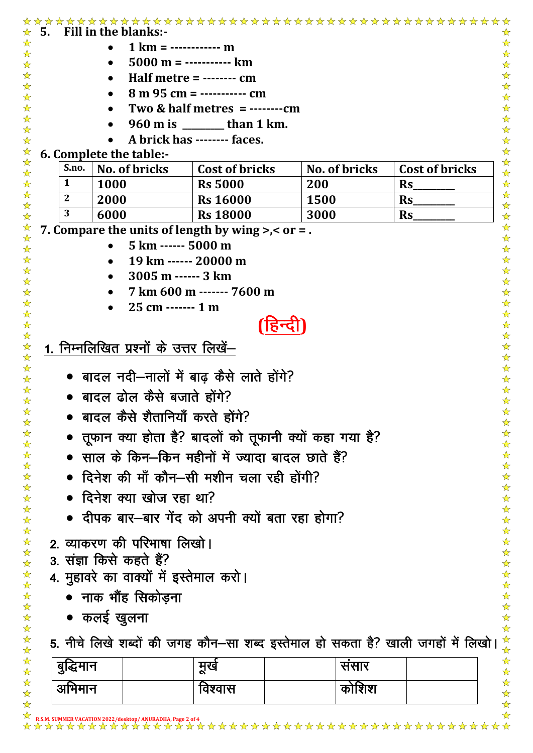|              |                                          | $1 km =$ ------------ m                                                         |               |                   |
|--------------|------------------------------------------|---------------------------------------------------------------------------------|---------------|-------------------|
|              |                                          | $5000 \text{ m}$ = ----------- km                                               |               |                   |
|              |                                          | Half metre = $---$ cm                                                           |               |                   |
|              |                                          | $8 m 95 cm =$ ----------- cm                                                    |               |                   |
|              |                                          | Two & half metres = ………cm                                                       |               |                   |
|              |                                          | 960 m is _______ than 1 km.<br>A brick has -------- faces.                      |               |                   |
|              | 6. Complete the table:-                  |                                                                                 |               |                   |
| S.no.        | No. of bricks                            | <b>Cost of bricks</b>                                                           | No. of bricks | Cost of bricks    |
| 1            | 1000                                     | <b>Rs 5000</b>                                                                  | 200           | <b>Rs</b>         |
| $\mathbf{2}$ | 2000                                     | <b>Rs 16000</b>                                                                 | <b>1500</b>   | $\mathbf{Rs}$     |
| 3            | 6000                                     | <b>Rs 18000</b>                                                                 | 3000          | $\mathbf{Rs}_{-}$ |
|              |                                          | 7. Compare the units of length by wing $\gt$ , $\lt$ or = .                     |               |                   |
|              | 5 km ------ 5000 m                       |                                                                                 |               |                   |
|              |                                          | 19 km ------ 20000 m                                                            |               |                   |
|              | 3005 m ------ 3 km                       |                                                                                 |               |                   |
|              |                                          | 7 km 600 m ------- 7600 m                                                       |               |                   |
|              | $25 \text{ cm}$ ------- 1 m<br>$\bullet$ |                                                                                 |               |                   |
|              |                                          | 124                                                                             |               |                   |
|              |                                          |                                                                                 |               |                   |
| 1.           | निम्नलिखित प्रश्नों के उत्तर लिखें–      |                                                                                 |               |                   |
|              |                                          |                                                                                 |               |                   |
|              |                                          | • बादल नदी—नालों में बाढ़ कैसे लाते होंगे?                                      |               |                   |
|              | • बादल ढोल कैसे बजाते होंगे?             |                                                                                 |               |                   |
|              | बादल कैसे शैतानियाँ करते होंगे?          |                                                                                 |               |                   |
|              |                                          |                                                                                 |               |                   |
|              |                                          | • तूफान क्या होता है? बादलों को तूफानी क्यों कहा गया है?                        |               |                   |
|              |                                          | • साल के किन—किन महीनों में ज्यादा बादल छाते हैं?                               |               |                   |
|              |                                          | • दिनेश की माँ कौन–सी मशीन चला रही होंगी?                                       |               |                   |
|              | • दिनेश क्या खोज रहा था?                 |                                                                                 |               |                   |
|              |                                          | • दीपक बार—बार गेंद को अपनी क्यों बता रहा होगा?                                 |               |                   |
|              |                                          |                                                                                 |               |                   |
|              | 2. व्याकरण की परिभाषा लिखो।              |                                                                                 |               |                   |
|              | 3. संज्ञा किसे कहते हैं?                 |                                                                                 |               |                   |
|              | 4. मुहावरे का वाक्यों में इस्तेमाल करो।  |                                                                                 |               |                   |
|              | • नाक भौंह सिकोड़ना                      |                                                                                 |               |                   |
|              |                                          |                                                                                 |               |                   |
|              | • कलई खुलना                              |                                                                                 |               |                   |
|              |                                          | 5. नीचे लिखे शब्दों की जगह कौन–सा शब्द इस्तेमाल हो सकता है? खाली जगहों में लिखो |               |                   |
| बुद्धिमान    |                                          | मूर्ख                                                                           | संसार         |                   |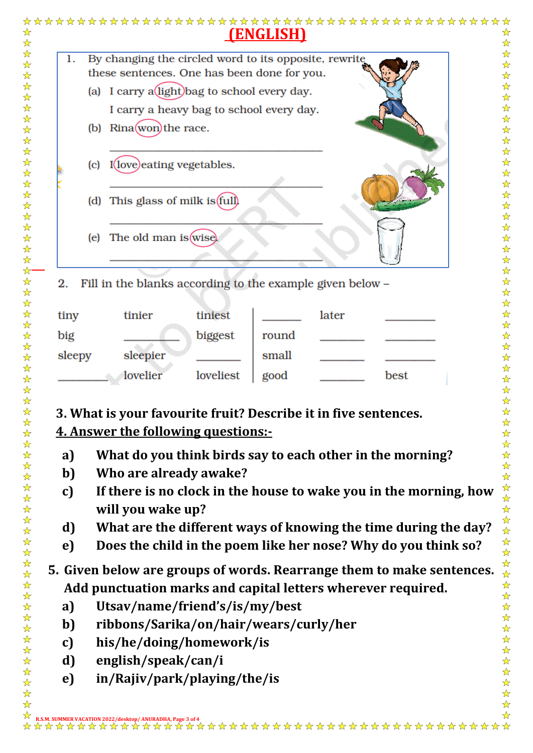